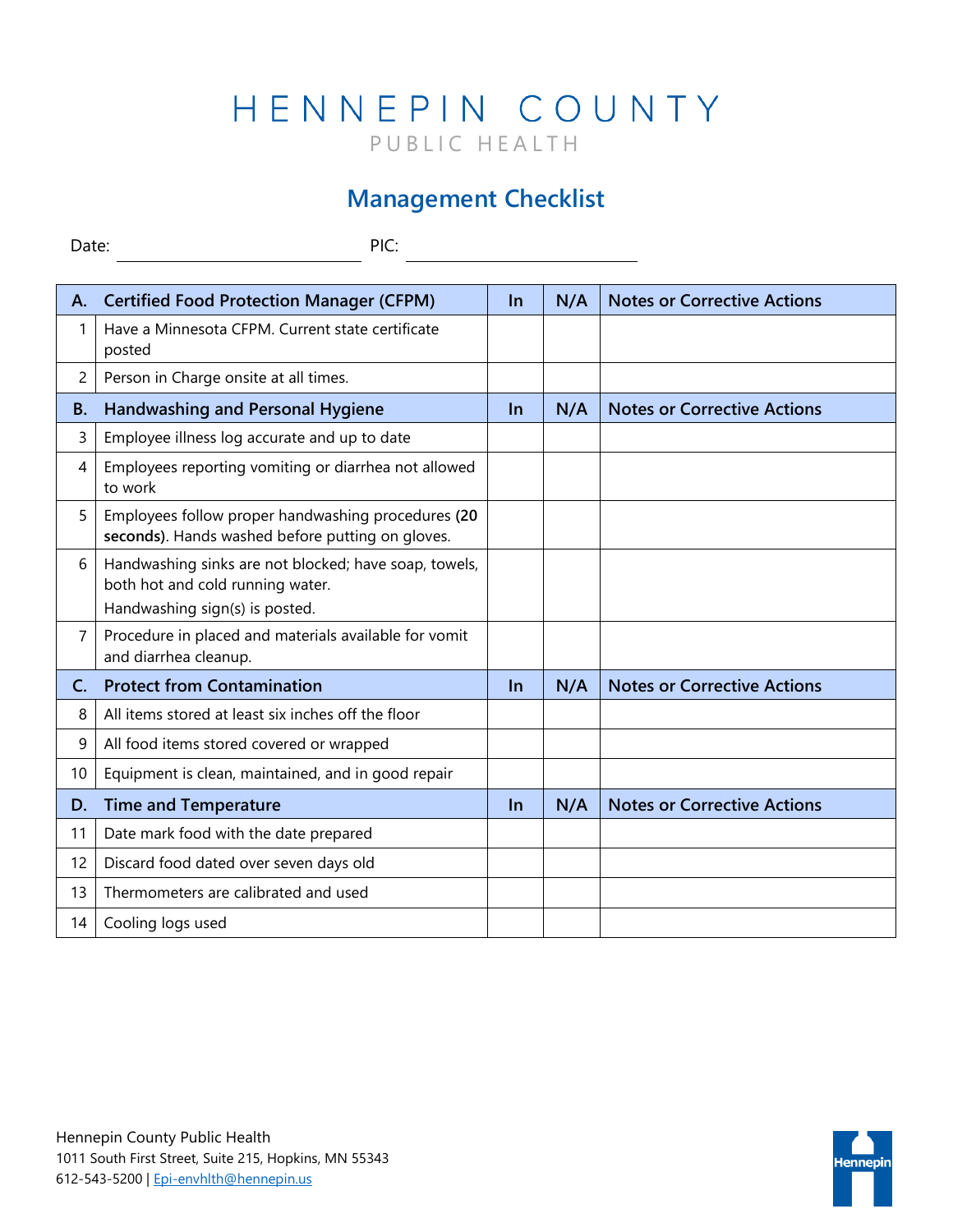## HENNEPIN COUNTY PUBLIC HEALTH

## **Management Checklist**

Date: PIC:

| Α.             | <b>Certified Food Protection Manager (CFPM)</b>                                                                             | $\ln$ | N/A | <b>Notes or Corrective Actions</b> |
|----------------|-----------------------------------------------------------------------------------------------------------------------------|-------|-----|------------------------------------|
| 1              | Have a Minnesota CFPM. Current state certificate<br>posted                                                                  |       |     |                                    |
| 2              | Person in Charge onsite at all times.                                                                                       |       |     |                                    |
| <b>B.</b>      | <b>Handwashing and Personal Hygiene</b>                                                                                     | $\ln$ | N/A | <b>Notes or Corrective Actions</b> |
| 3              | Employee illness log accurate and up to date                                                                                |       |     |                                    |
| 4              | Employees reporting vomiting or diarrhea not allowed<br>to work                                                             |       |     |                                    |
| 5              | Employees follow proper handwashing procedures (20<br>seconds). Hands washed before putting on gloves.                      |       |     |                                    |
| 6              | Handwashing sinks are not blocked; have soap, towels,<br>both hot and cold running water.<br>Handwashing sign(s) is posted. |       |     |                                    |
| 7              | Procedure in placed and materials available for vomit<br>and diarrhea cleanup.                                              |       |     |                                    |
| $\mathsf{C}$ . | <b>Protect from Contamination</b>                                                                                           | $\ln$ | N/A | <b>Notes or Corrective Actions</b> |
| 8              | All items stored at least six inches off the floor                                                                          |       |     |                                    |
| 9              | All food items stored covered or wrapped                                                                                    |       |     |                                    |
| 10             | Equipment is clean, maintained, and in good repair                                                                          |       |     |                                    |
| D.             | <b>Time and Temperature</b>                                                                                                 | $\ln$ | N/A | <b>Notes or Corrective Actions</b> |
| 11             | Date mark food with the date prepared                                                                                       |       |     |                                    |
| 12             | Discard food dated over seven days old                                                                                      |       |     |                                    |
| 13             | Thermometers are calibrated and used                                                                                        |       |     |                                    |
| 14             | Cooling logs used                                                                                                           |       |     |                                    |